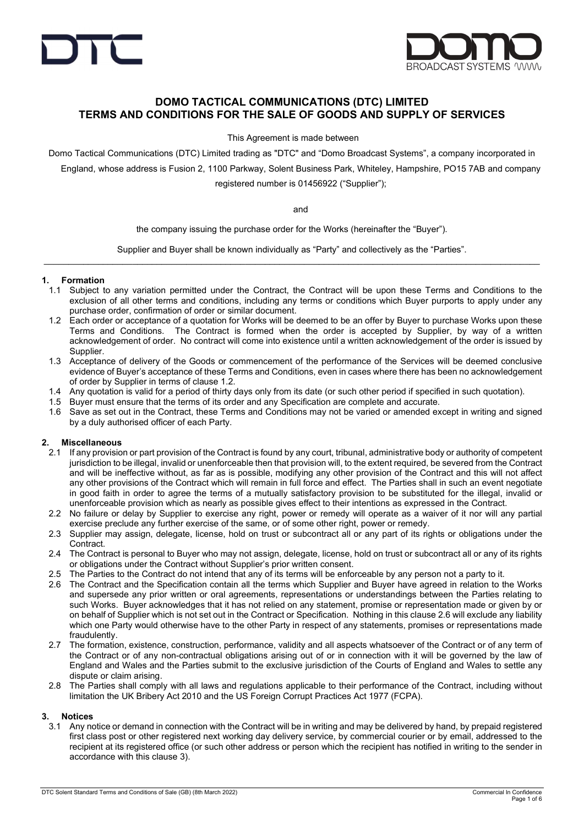



# DOMO TACTICAL COMMUNICATIONS (DTC) LIMITED TERMS AND CONDITIONS FOR THE SALE OF GOODS AND SUPPLY OF SERVICES

This Agreement is made between

Domo Tactical Communications (DTC) Limited trading as "DTC" and "Domo Broadcast Systems", a company incorporated in

England, whose address is Fusion 2, 1100 Parkway, Solent Business Park, Whiteley, Hampshire, PO15 7AB and company

registered number is 01456922 ("Supplier");

and

the company issuing the purchase order for the Works (hereinafter the "Buyer").

Supplier and Buyer shall be known individually as "Party" and collectively as the "Parties".  $\bot$  , and the state of the state of the state of the state of the state of the state of the state of the state of the state of the state of the state of the state of the state of the state of the state of the state of th

### 1. Formation

- 1.1 Subject to any variation permitted under the Contract, the Contract will be upon these Terms and Conditions to the exclusion of all other terms and conditions, including any terms or conditions which Buyer purports to apply under any purchase order, confirmation of order or similar document.
- 1.2 Each order or acceptance of a quotation for Works will be deemed to be an offer by Buyer to purchase Works upon these Terms and Conditions. The Contract is formed when the order is accepted by Supplier, by way of a written acknowledgement of order. No contract will come into existence until a written acknowledgement of the order is issued by Supplier.
- 1.3 Acceptance of delivery of the Goods or commencement of the performance of the Services will be deemed conclusive evidence of Buyer's acceptance of these Terms and Conditions, even in cases where there has been no acknowledgement of order by Supplier in terms of clause 1.2.
- 1.4 Any quotation is valid for a period of thirty days only from its date (or such other period if specified in such quotation).
- 1.5 Buyer must ensure that the terms of its order and any Specification are complete and accurate.
- 1.6 Save as set out in the Contract, these Terms and Conditions may not be varied or amended except in writing and signed by a duly authorised officer of each Party.

#### 2. Miscellaneous

- 2.1 If any provision or part provision of the Contract is found by any court, tribunal, administrative body or authority of competent jurisdiction to be illegal, invalid or unenforceable then that provision will, to the extent required, be severed from the Contract and will be ineffective without, as far as is possible, modifying any other provision of the Contract and this will not affect any other provisions of the Contract which will remain in full force and effect. The Parties shall in such an event negotiate in good faith in order to agree the terms of a mutually satisfactory provision to be substituted for the illegal, invalid or unenforceable provision which as nearly as possible gives effect to their intentions as expressed in the Contract.
- 2.2 No failure or delay by Supplier to exercise any right, power or remedy will operate as a waiver of it nor will any partial exercise preclude any further exercise of the same, or of some other right, power or remedy.
- 2.3 Supplier may assign, delegate, license, hold on trust or subcontract all or any part of its rights or obligations under the Contract.
- 2.4 The Contract is personal to Buyer who may not assign, delegate, license, hold on trust or subcontract all or any of its rights or obligations under the Contract without Supplier's prior written consent.
- 2.5 The Parties to the Contract do not intend that any of its terms will be enforceable by any person not a party to it.
- 2.6 The Contract and the Specification contain all the terms which Supplier and Buyer have agreed in relation to the Works and supersede any prior written or oral agreements, representations or understandings between the Parties relating to such Works. Buyer acknowledges that it has not relied on any statement, promise or representation made or given by or on behalf of Supplier which is not set out in the Contract or Specification. Nothing in this clause 2.6 will exclude any liability which one Party would otherwise have to the other Party in respect of any statements, promises or representations made fraudulently.
- 2.7 The formation, existence, construction, performance, validity and all aspects whatsoever of the Contract or of any term of the Contract or of any non-contractual obligations arising out of or in connection with it will be governed by the law of England and Wales and the Parties submit to the exclusive jurisdiction of the Courts of England and Wales to settle any dispute or claim arising.
- 2.8 The Parties shall comply with all laws and regulations applicable to their performance of the Contract, including without limitation the UK Bribery Act 2010 and the US Foreign Corrupt Practices Act 1977 (FCPA).

#### 3. Notices

3.1 Any notice or demand in connection with the Contract will be in writing and may be delivered by hand, by prepaid registered first class post or other registered next working day delivery service, by commercial courier or by email, addressed to the recipient at its registered office (or such other address or person which the recipient has notified in writing to the sender in accordance with this clause 3).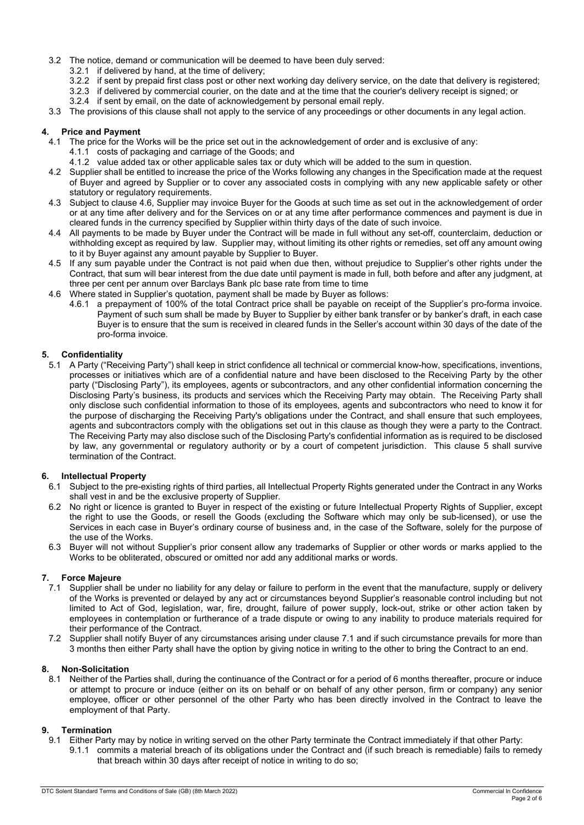- 3.2 The notice, demand or communication will be deemed to have been duly served:
	- 3.2.1 if delivered by hand, at the time of delivery;
	- 3.2.2 if sent by prepaid first class post or other next working day delivery service, on the date that delivery is registered;
	- 3.2.3 if delivered by commercial courier, on the date and at the time that the courier's delivery receipt is signed; or
	- 3.2.4 if sent by email, on the date of acknowledgement by personal email reply.

3.3 The provisions of this clause shall not apply to the service of any proceedings or other documents in any legal action.

### 4. Price and Payment

- 4.1 The price for the Works will be the price set out in the acknowledgement of order and is exclusive of any:
	- 4.1.1 costs of packaging and carriage of the Goods; and
	- 4.1.2 value added tax or other applicable sales tax or duty which will be added to the sum in question.
- 4.2 Supplier shall be entitled to increase the price of the Works following any changes in the Specification made at the request of Buyer and agreed by Supplier or to cover any associated costs in complying with any new applicable safety or other statutory or regulatory requirements.
- 4.3 Subject to clause 4.6, Supplier may invoice Buyer for the Goods at such time as set out in the acknowledgement of order or at any time after delivery and for the Services on or at any time after performance commences and payment is due in cleared funds in the currency specified by Supplier within thirty days of the date of such invoice.
- 4.4 All payments to be made by Buyer under the Contract will be made in full without any set-off, counterclaim, deduction or withholding except as required by law. Supplier may, without limiting its other rights or remedies, set off any amount owing to it by Buyer against any amount payable by Supplier to Buyer.
- 4.5 If any sum payable under the Contract is not paid when due then, without prejudice to Supplier's other rights under the Contract, that sum will bear interest from the due date until payment is made in full, both before and after any judgment, at three per cent per annum over Barclays Bank plc base rate from time to time
- 4.6 Where stated in Supplier's quotation, payment shall be made by Buyer as follows:
	- 4.6.1 a prepayment of 100% of the total Contract price shall be payable on receipt of the Supplier's pro-forma invoice. Payment of such sum shall be made by Buyer to Supplier by either bank transfer or by banker's draft, in each case Buyer is to ensure that the sum is received in cleared funds in the Seller's account within 30 days of the date of the pro-forma invoice.

# **Confidentiality**

5.1 A Party ("Receiving Party") shall keep in strict confidence all technical or commercial know-how, specifications, inventions, processes or initiatives which are of a confidential nature and have been disclosed to the Receiving Party by the other party ("Disclosing Party"), its employees, agents or subcontractors, and any other confidential information concerning the Disclosing Party's business, its products and services which the Receiving Party may obtain. The Receiving Party shall only disclose such confidential information to those of its employees, agents and subcontractors who need to know it for the purpose of discharging the Receiving Party's obligations under the Contract, and shall ensure that such employees, agents and subcontractors comply with the obligations set out in this clause as though they were a party to the Contract. The Receiving Party may also disclose such of the Disclosing Party's confidential information as is required to be disclosed by law, any governmental or regulatory authority or by a court of competent jurisdiction. This clause 5 shall survive termination of the Contract.

# 6. Intellectual Property

- 6.1 Subject to the pre-existing rights of third parties, all Intellectual Property Rights generated under the Contract in any Works shall vest in and be the exclusive property of Supplier.
- 6.2 No right or licence is granted to Buyer in respect of the existing or future Intellectual Property Rights of Supplier, except the right to use the Goods, or resell the Goods (excluding the Software which may only be sub-licensed), or use the Services in each case in Buyer's ordinary course of business and, in the case of the Software, solely for the purpose of the use of the Works.
- 6.3 Buyer will not without Supplier's prior consent allow any trademarks of Supplier or other words or marks applied to the Works to be obliterated, obscured or omitted nor add any additional marks or words.

# 7. Force Majeure

- 7.1 Supplier shall be under no liability for any delay or failure to perform in the event that the manufacture, supply or delivery of the Works is prevented or delayed by any act or circumstances beyond Supplier's reasonable control including but not limited to Act of God, legislation, war, fire, drought, failure of power supply, lock-out, strike or other action taken by employees in contemplation or furtherance of a trade dispute or owing to any inability to produce materials required for their performance of the Contract.
- 7.2 Supplier shall notify Buyer of any circumstances arising under clause 7.1 and if such circumstance prevails for more than 3 months then either Party shall have the option by giving notice in writing to the other to bring the Contract to an end.

### 8. Non-Solicitation

8.1 Neither of the Parties shall, during the continuance of the Contract or for a period of 6 months thereafter, procure or induce or attempt to procure or induce (either on its on behalf or on behalf of any other person, firm or company) any senior employee, officer or other personnel of the other Party who has been directly involved in the Contract to leave the employment of that Party.

#### 9. Termination

9.1 Either Party may by notice in writing served on the other Party terminate the Contract immediately if that other Party: 9.1.1 commits a material breach of its obligations under the Contract and (if such breach is remediable) fails to remedy that breach within 30 days after receipt of notice in writing to do so;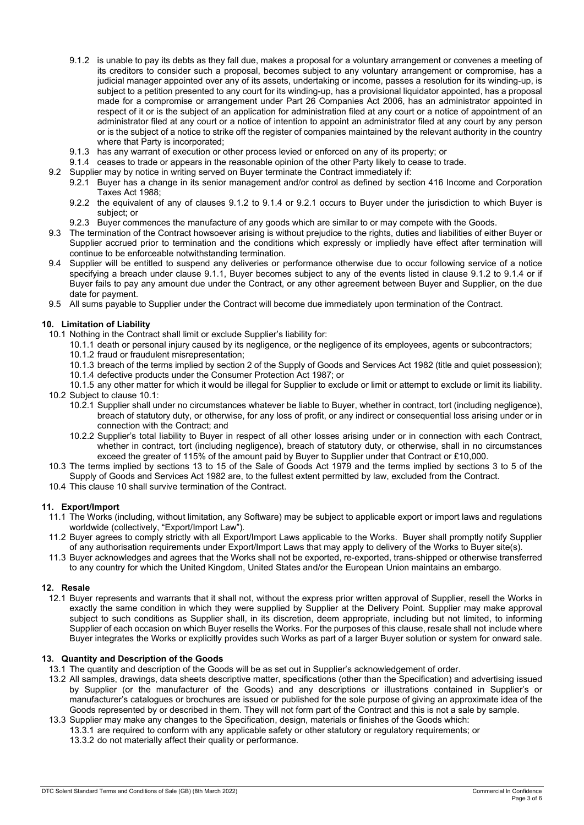- 9.1.2 is unable to pay its debts as they fall due, makes a proposal for a voluntary arrangement or convenes a meeting of its creditors to consider such a proposal, becomes subject to any voluntary arrangement or compromise, has a judicial manager appointed over any of its assets, undertaking or income, passes a resolution for its winding-up, is subject to a petition presented to any court for its winding-up, has a provisional liquidator appointed, has a proposal made for a compromise or arrangement under Part 26 Companies Act 2006, has an administrator appointed in respect of it or is the subject of an application for administration filed at any court or a notice of appointment of an administrator filed at any court or a notice of intention to appoint an administrator filed at any court by any person or is the subject of a notice to strike off the register of companies maintained by the relevant authority in the country where that Party is incorporated;
- 9.1.3 has any warrant of execution or other process levied or enforced on any of its property; or
- 9.1.4 ceases to trade or appears in the reasonable opinion of the other Party likely to cease to trade.
- 9.2 Supplier may by notice in writing served on Buyer terminate the Contract immediately if:
	- 9.2.1 Buyer has a change in its senior management and/or control as defined by section 416 Income and Corporation Taxes Act 1988;
		- 9.2.2 the equivalent of any of clauses 9.1.2 to 9.1.4 or 9.2.1 occurs to Buyer under the jurisdiction to which Buyer is subject; or
		- 9.2.3 Buyer commences the manufacture of any goods which are similar to or may compete with the Goods.
- 9.3 The termination of the Contract howsoever arising is without prejudice to the rights, duties and liabilities of either Buyer or Supplier accrued prior to termination and the conditions which expressly or impliedly have effect after termination will continue to be enforceable notwithstanding termination.
- 9.4 Supplier will be entitled to suspend any deliveries or performance otherwise due to occur following service of a notice specifying a breach under clause 9.1.1, Buyer becomes subject to any of the events listed in clause 9.1.2 to 9.1.4 or if Buyer fails to pay any amount due under the Contract, or any other agreement between Buyer and Supplier, on the due date for payment.
- 9.5 All sums payable to Supplier under the Contract will become due immediately upon termination of the Contract.

#### 10. Limitation of Liability

- 10.1 Nothing in the Contract shall limit or exclude Supplier's liability for:
	- 10.1.1 death or personal injury caused by its negligence, or the negligence of its employees, agents or subcontractors;
	- 10.1.2 fraud or fraudulent misrepresentation;
	- 10.1.3 breach of the terms implied by section 2 of the Supply of Goods and Services Act 1982 (title and quiet possession);
	- 10.1.4 defective products under the Consumer Protection Act 1987; or
- 10.1.5 any other matter for which it would be illegal for Supplier to exclude or limit or attempt to exclude or limit its liability. 10.2 Subject to clause 10.1:
	- 10.2.1 Supplier shall under no circumstances whatever be liable to Buyer, whether in contract, tort (including negligence), breach of statutory duty, or otherwise, for any loss of profit, or any indirect or consequential loss arising under or in connection with the Contract; and
	- 10.2.2 Supplier's total liability to Buyer in respect of all other losses arising under or in connection with each Contract, whether in contract, tort (including negligence), breach of statutory duty, or otherwise, shall in no circumstances exceed the greater of 115% of the amount paid by Buyer to Supplier under that Contract or £10,000.
- 10.3 The terms implied by sections 13 to 15 of the Sale of Goods Act 1979 and the terms implied by sections 3 to 5 of the Supply of Goods and Services Act 1982 are, to the fullest extent permitted by law, excluded from the Contract.
- 10.4 This clause 10 shall survive termination of the Contract.

#### 11. Export/Import

- 11.1 The Works (including, without limitation, any Software) may be subject to applicable export or import laws and regulations worldwide (collectively, "Export/Import Law").
- 11.2 Buyer agrees to comply strictly with all Export/Import Laws applicable to the Works. Buyer shall promptly notify Supplier of any authorisation requirements under Export/Import Laws that may apply to delivery of the Works to Buyer site(s).
- 11.3 Buyer acknowledges and agrees that the Works shall not be exported, re-exported, trans-shipped or otherwise transferred to any country for which the United Kingdom, United States and/or the European Union maintains an embargo.

#### 12. Resale

12.1 Buyer represents and warrants that it shall not, without the express prior written approval of Supplier, resell the Works in exactly the same condition in which they were supplied by Supplier at the Delivery Point. Supplier may make approval subject to such conditions as Supplier shall, in its discretion, deem appropriate, including but not limited, to informing Supplier of each occasion on which Buyer resells the Works. For the purposes of this clause, resale shall not include where Buyer integrates the Works or explicitly provides such Works as part of a larger Buyer solution or system for onward sale.

### 13. Quantity and Description of the Goods

- 13.1 The quantity and description of the Goods will be as set out in Supplier's acknowledgement of order.
- 13.2 All samples, drawings, data sheets descriptive matter, specifications (other than the Specification) and advertising issued by Supplier (or the manufacturer of the Goods) and any descriptions or illustrations contained in Supplier's or manufacturer's catalogues or brochures are issued or published for the sole purpose of giving an approximate idea of the Goods represented by or described in them. They will not form part of the Contract and this is not a sale by sample.
- 13.3 Supplier may make any changes to the Specification, design, materials or finishes of the Goods which: 13.3.1 are required to conform with any applicable safety or other statutory or regulatory requirements; or
	- 13.3.2 do not materially affect their quality or performance.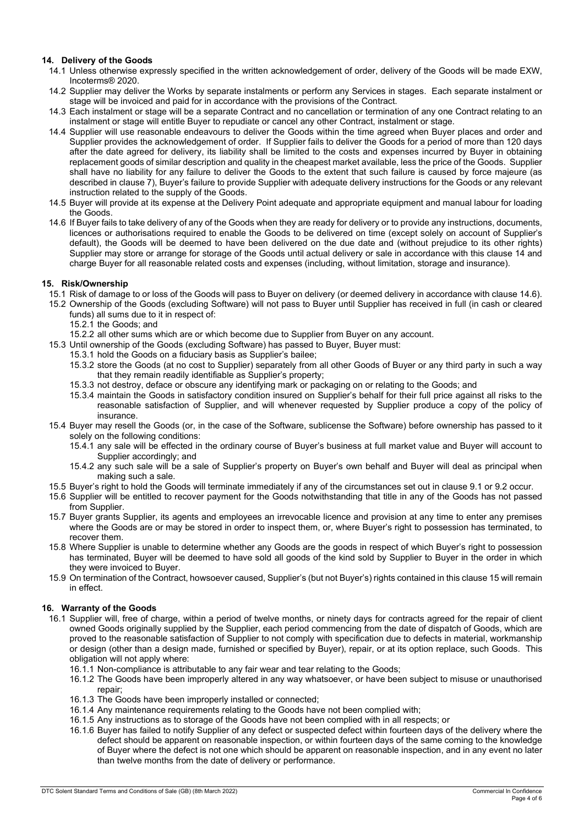# 14. Delivery of the Goods

- 14.1 Unless otherwise expressly specified in the written acknowledgement of order, delivery of the Goods will be made EXW, Incoterms® 2020.
- 14.2 Supplier may deliver the Works by separate instalments or perform any Services in stages. Each separate instalment or stage will be invoiced and paid for in accordance with the provisions of the Contract.
- 14.3 Each instalment or stage will be a separate Contract and no cancellation or termination of any one Contract relating to an instalment or stage will entitle Buyer to repudiate or cancel any other Contract, instalment or stage.
- 14.4 Supplier will use reasonable endeavours to deliver the Goods within the time agreed when Buyer places and order and Supplier provides the acknowledgement of order. If Supplier fails to deliver the Goods for a period of more than 120 days after the date agreed for delivery, its liability shall be limited to the costs and expenses incurred by Buyer in obtaining replacement goods of similar description and quality in the cheapest market available, less the price of the Goods. Supplier shall have no liability for any failure to deliver the Goods to the extent that such failure is caused by force majeure (as described in clause 7), Buyer's failure to provide Supplier with adequate delivery instructions for the Goods or any relevant instruction related to the supply of the Goods.
- 14.5 Buyer will provide at its expense at the Delivery Point adequate and appropriate equipment and manual labour for loading the Goods.
- 14.6 If Buyer fails to take delivery of any of the Goods when they are ready for delivery or to provide any instructions, documents, licences or authorisations required to enable the Goods to be delivered on time (except solely on account of Supplier's default), the Goods will be deemed to have been delivered on the due date and (without prejudice to its other rights) Supplier may store or arrange for storage of the Goods until actual delivery or sale in accordance with this clause 14 and charge Buyer for all reasonable related costs and expenses (including, without limitation, storage and insurance).

### 15. Risk/Ownership

- 15.1 Risk of damage to or loss of the Goods will pass to Buyer on delivery (or deemed delivery in accordance with clause 14.6).
- 15.2 Ownership of the Goods (excluding Software) will not pass to Buyer until Supplier has received in full (in cash or cleared funds) all sums due to it in respect of:
	- 15.2.1 the Goods; and
	- 15.2.2 all other sums which are or which become due to Supplier from Buyer on any account.
- 15.3 Until ownership of the Goods (excluding Software) has passed to Buyer, Buyer must:
	- 15.3.1 hold the Goods on a fiduciary basis as Supplier's bailee;
		- 15.3.2 store the Goods (at no cost to Supplier) separately from all other Goods of Buyer or any third party in such a way that they remain readily identifiable as Supplier's property;
		- 15.3.3 not destroy, deface or obscure any identifying mark or packaging on or relating to the Goods; and
		- 15.3.4 maintain the Goods in satisfactory condition insured on Supplier's behalf for their full price against all risks to the reasonable satisfaction of Supplier, and will whenever requested by Supplier produce a copy of the policy of insurance.
- 15.4 Buyer may resell the Goods (or, in the case of the Software, sublicense the Software) before ownership has passed to it solely on the following conditions:
	- 15.4.1 any sale will be effected in the ordinary course of Buyer's business at full market value and Buyer will account to Supplier accordingly; and
	- 15.4.2 any such sale will be a sale of Supplier's property on Buyer's own behalf and Buyer will deal as principal when making such a sale.
- 15.5 Buyer's right to hold the Goods will terminate immediately if any of the circumstances set out in clause 9.1 or 9.2 occur.
- 15.6 Supplier will be entitled to recover payment for the Goods notwithstanding that title in any of the Goods has not passed from Supplier.
- 15.7 Buyer grants Supplier, its agents and employees an irrevocable licence and provision at any time to enter any premises where the Goods are or may be stored in order to inspect them, or, where Buyer's right to possession has terminated, to recover them.
- 15.8 Where Supplier is unable to determine whether any Goods are the goods in respect of which Buyer's right to possession has terminated, Buyer will be deemed to have sold all goods of the kind sold by Supplier to Buyer in the order in which they were invoiced to Buyer.
- 15.9 On termination of the Contract, howsoever caused, Supplier's (but not Buyer's) rights contained in this clause 15 will remain in effect.

# 16. Warranty of the Goods

- 16.1 Supplier will, free of charge, within a period of twelve months, or ninety days for contracts agreed for the repair of client owned Goods originally supplied by the Supplier, each period commencing from the date of dispatch of Goods, which are proved to the reasonable satisfaction of Supplier to not comply with specification due to defects in material, workmanship or design (other than a design made, furnished or specified by Buyer), repair, or at its option replace, such Goods. This obligation will not apply where:
	- 16.1.1 Non-compliance is attributable to any fair wear and tear relating to the Goods;
	- 16.1.2 The Goods have been improperly altered in any way whatsoever, or have been subject to misuse or unauthorised repair;
	- 16.1.3 The Goods have been improperly installed or connected;
	- 16.1.4 Any maintenance requirements relating to the Goods have not been complied with;
	- 16.1.5 Any instructions as to storage of the Goods have not been complied with in all respects; or
	- 16.1.6 Buyer has failed to notify Supplier of any defect or suspected defect within fourteen days of the delivery where the defect should be apparent on reasonable inspection, or within fourteen days of the same coming to the knowledge of Buyer where the defect is not one which should be apparent on reasonable inspection, and in any event no later than twelve months from the date of delivery or performance.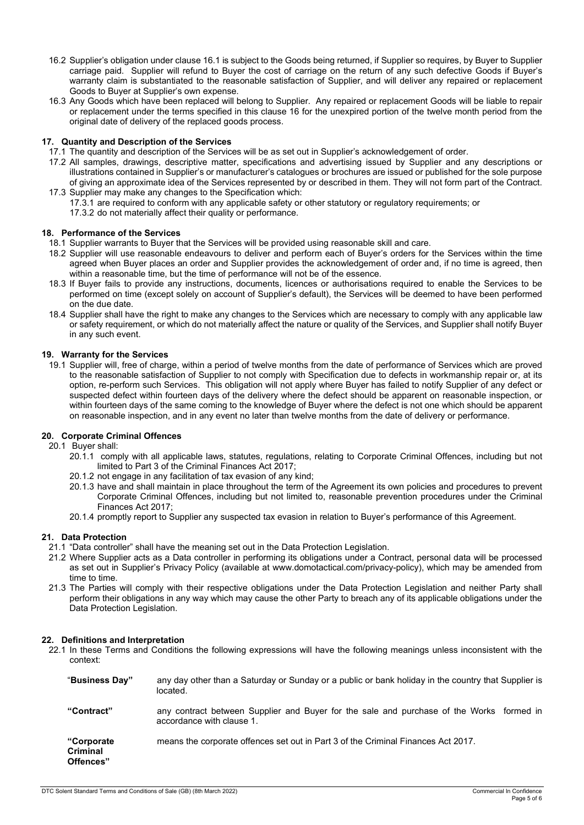- 16.2 Supplier's obligation under clause 16.1 is subject to the Goods being returned, if Supplier so requires, by Buyer to Supplier carriage paid. Supplier will refund to Buyer the cost of carriage on the return of any such defective Goods if Buyer's warranty claim is substantiated to the reasonable satisfaction of Supplier, and will deliver any repaired or replacement Goods to Buyer at Supplier's own expense.
- 16.3 Any Goods which have been replaced will belong to Supplier. Any repaired or replacement Goods will be liable to repair or replacement under the terms specified in this clause 16 for the unexpired portion of the twelve month period from the original date of delivery of the replaced goods process.

## 17. Quantity and Description of the Services

- 17.1 The quantity and description of the Services will be as set out in Supplier's acknowledgement of order.
- 17.2 All samples, drawings, descriptive matter, specifications and advertising issued by Supplier and any descriptions or illustrations contained in Supplier's or manufacturer's catalogues or brochures are issued or published for the sole purpose of giving an approximate idea of the Services represented by or described in them. They will not form part of the Contract. 17.3 Supplier may make any changes to the Specification which:
	- 17.3.1 are required to conform with any applicable safety or other statutory or regulatory requirements; or
		- 17.3.2 do not materially affect their quality or performance.

#### 18. Performance of the Services

- 18.1 Supplier warrants to Buyer that the Services will be provided using reasonable skill and care.
- 18.2 Supplier will use reasonable endeavours to deliver and perform each of Buyer's orders for the Services within the time agreed when Buyer places an order and Supplier provides the acknowledgement of order and, if no time is agreed, then within a reasonable time, but the time of performance will not be of the essence.
- 18.3 If Buyer fails to provide any instructions, documents, licences or authorisations required to enable the Services to be performed on time (except solely on account of Supplier's default), the Services will be deemed to have been performed on the due date.
- 18.4 Supplier shall have the right to make any changes to the Services which are necessary to comply with any applicable law or safety requirement, or which do not materially affect the nature or quality of the Services, and Supplier shall notify Buyer in any such event.

### 19. Warranty for the Services

19.1 Supplier will, free of charge, within a period of twelve months from the date of performance of Services which are proved to the reasonable satisfaction of Supplier to not comply with Specification due to defects in workmanship repair or, at its option, re-perform such Services. This obligation will not apply where Buyer has failed to notify Supplier of any defect or suspected defect within fourteen days of the delivery where the defect should be apparent on reasonable inspection, or within fourteen days of the same coming to the knowledge of Buyer where the defect is not one which should be apparent on reasonable inspection, and in any event no later than twelve months from the date of delivery or performance.

# 20. Corporate Criminal Offences

20.1 Buyer shall:

- 20.1.1 comply with all applicable laws, statutes, regulations, relating to Corporate Criminal Offences, including but not limited to Part 3 of the Criminal Finances Act 2017;
- 20.1.2 not engage in any facilitation of tax evasion of any kind;
- 20.1.3 have and shall maintain in place throughout the term of the Agreement its own policies and procedures to prevent Corporate Criminal Offences, including but not limited to, reasonable prevention procedures under the Criminal Finances Act 2017;
- 20.1.4 promptly report to Supplier any suspected tax evasion in relation to Buyer's performance of this Agreement.

## 21. Data Protection

- 21.1 "Data controller" shall have the meaning set out in the Data Protection Legislation.
- 21.2 Where Supplier acts as a Data controller in performing its obligations under a Contract, personal data will be processed as set out in Supplier's Privacy Policy (available at www.domotactical.com/privacy-policy), which may be amended from time to time.
- 21.3 The Parties will comply with their respective obligations under the Data Protection Legislation and neither Party shall perform their obligations in any way which may cause the other Party to breach any of its applicable obligations under the Data Protection Legislation.

#### 22. Definitions and Interpretation

22.1 In these Terms and Conditions the following expressions will have the following meanings unless inconsistent with the context:

| "Business Day"                              | any day other than a Saturday or Sunday or a public or bank holiday in the country that Supplier is<br>located.       |
|---------------------------------------------|-----------------------------------------------------------------------------------------------------------------------|
| "Contract"                                  | any contract between Supplier and Buyer for the sale and purchase of the Works formed in<br>accordance with clause 1. |
| "Corporate"<br><b>Criminal</b><br>Offences" | means the corporate offences set out in Part 3 of the Criminal Finances Act 2017.                                     |